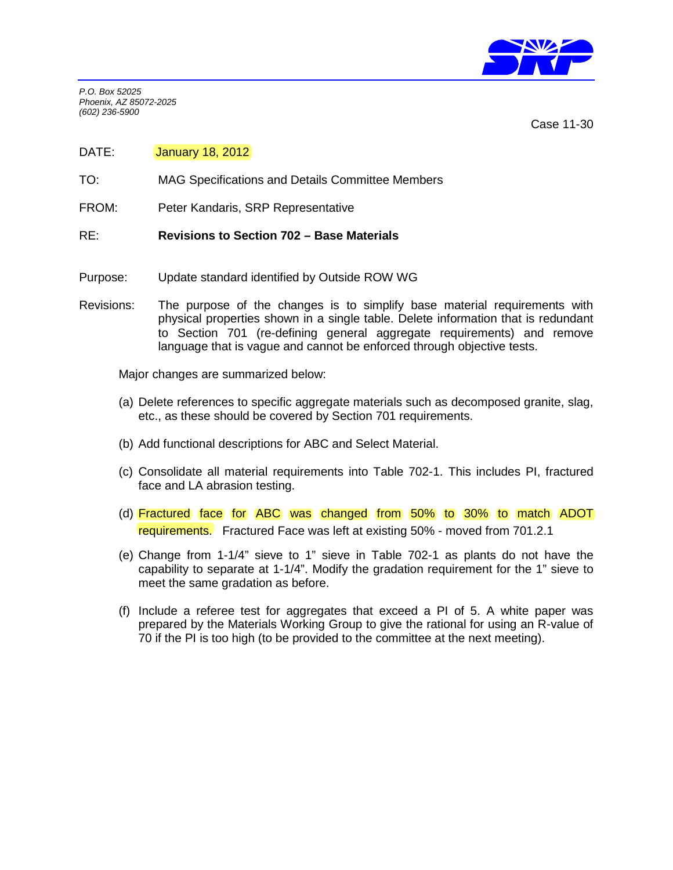

*P.O. Box 52025 Phoenix, AZ 85072-2025 (602) 236-5900*

Case 11-30

- DATE: **January 18, 2012**
- TO: MAG Specifications and Details Committee Members
- FROM: Peter Kandaris, SRP Representative
- RE: **Revisions to Section 702 Base Materials**
- Purpose: Update standard identified by Outside ROW WG
- Revisions: The purpose of the changes is to simplify base material requirements with physical properties shown in a single table. Delete information that is redundant to Section 701 (re-defining general aggregate requirements) and remove language that is vague and cannot be enforced through objective tests.

Major changes are summarized below:

- (a) Delete references to specific aggregate materials such as decomposed granite, slag, etc., as these should be covered by Section 701 requirements.
- (b) Add functional descriptions for ABC and Select Material.
- (c) Consolidate all material requirements into Table 702-1. This includes PI, fractured face and LA abrasion testing.
- (d) Fractured face for ABC was changed from 50% to 30% to match ADOT requirements. Fractured Face was left at existing 50% - moved from 701.2.1
- (e) Change from 1-1/4" sieve to 1" sieve in Table 702-1 as plants do not have the capability to separate at 1-1/4". Modify the gradation requirement for the 1" sieve to meet the same gradation as before.
- (f) Include a referee test for aggregates that exceed a PI of 5. A white paper was prepared by the Materials Working Group to give the rational for using an R-value of 70 if the PI is too high (to be provided to the committee at the next meeting).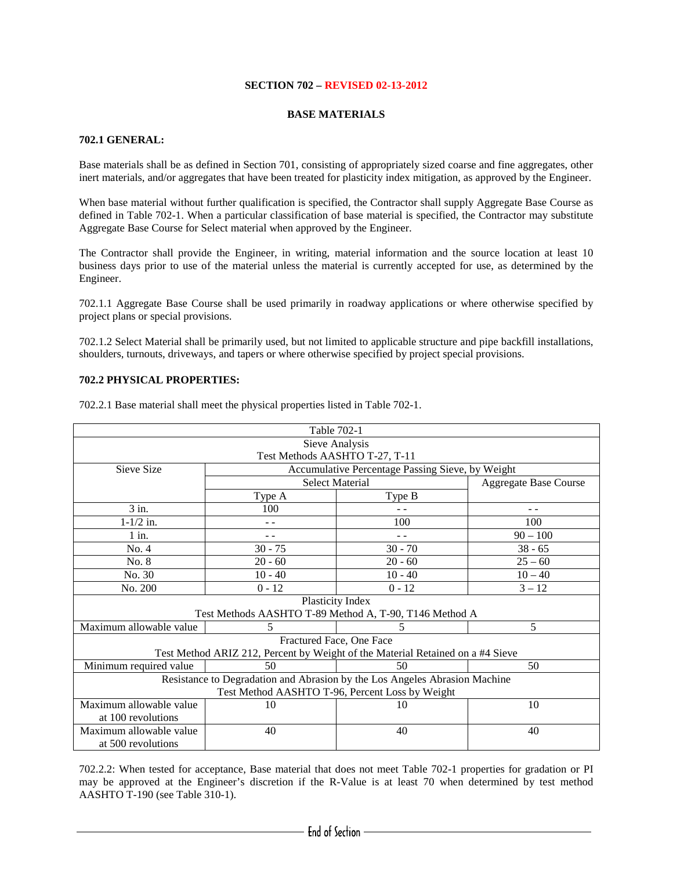# **SECTION 702 – REVISED 02-13-2012**

## **BASE MATERIALS**

# **702.1 GENERAL:**

Base materials shall be as defined in Section 701, consisting of appropriately sized coarse and fine aggregates, other inert materials, and/or aggregates that have been treated for plasticity index mitigation, as approved by the Engineer.

When base material without further qualification is specified, the Contractor shall supply Aggregate Base Course as defined in Table 702-1. When a particular classification of base material is specified, the Contractor may substitute Aggregate Base Course for Select material when approved by the Engineer.

The Contractor shall provide the Engineer, in writing, material information and the source location at least 10 business days prior to use of the material unless the material is currently accepted for use, as determined by the Engineer.

702.1.1 Aggregate Base Course shall be used primarily in roadway applications or where otherwise specified by project plans or special provisions.

702.1.2 Select Material shall be primarily used, but not limited to applicable structure and pipe backfill installations, shoulders, turnouts, driveways, and tapers or where otherwise specified by project special provisions.

## **702.2 PHYSICAL PROPERTIES:**

| Table 702-1                                                                    |                                                  |                                |                              |  |
|--------------------------------------------------------------------------------|--------------------------------------------------|--------------------------------|------------------------------|--|
| Sieve Analysis                                                                 |                                                  |                                |                              |  |
|                                                                                |                                                  | Test Methods AASHTO T-27, T-11 |                              |  |
| Sieve Size                                                                     | Accumulative Percentage Passing Sieve, by Weight |                                |                              |  |
|                                                                                | <b>Select Material</b>                           |                                | <b>Aggregate Base Course</b> |  |
|                                                                                | Type A                                           | Type B                         |                              |  |
| $3$ in.                                                                        | 100                                              |                                | - -                          |  |
| $1 - 1/2$ in.                                                                  |                                                  | 100                            | 100                          |  |
| $1$ in.                                                                        | - -                                              | $=$ $-$                        | $90 - 100$                   |  |
| No. 4                                                                          | $30 - 75$                                        | $30 - 70$                      | $38 - 65$                    |  |
| No. 8                                                                          | $20 - 60$                                        | $20 - 60$                      | $25 - 60$                    |  |
| No. 30                                                                         | $10 - 40$                                        | $10 - 40$                      | $10 - 40$                    |  |
| No. 200                                                                        | $0 - 12$                                         | $0 - 12$                       | $3 - 12$                     |  |
| Plasticity Index                                                               |                                                  |                                |                              |  |
| Test Methods AASHTO T-89 Method A, T-90, T146 Method A                         |                                                  |                                |                              |  |
| Maximum allowable value                                                        | 5                                                | 5                              | 5                            |  |
| Fractured Face, One Face                                                       |                                                  |                                |                              |  |
| Test Method ARIZ 212, Percent by Weight of the Material Retained on a #4 Sieve |                                                  |                                |                              |  |
| Minimum required value                                                         | 50                                               | 50                             | 50                           |  |
| Resistance to Degradation and Abrasion by the Los Angeles Abrasion Machine     |                                                  |                                |                              |  |
| Test Method AASHTO T-96, Percent Loss by Weight                                |                                                  |                                |                              |  |
| Maximum allowable value                                                        | 10                                               | 10                             | 10                           |  |
| at 100 revolutions                                                             |                                                  |                                |                              |  |
| Maximum allowable value                                                        | 40                                               | 40                             | 40                           |  |
| at 500 revolutions                                                             |                                                  |                                |                              |  |

702.2.1 Base material shall meet the physical properties listed in Table 702-1.

702.2.2: When tested for acceptance, Base material that does not meet Table 702-1 properties for gradation or PI may be approved at the Engineer's discretion if the R-Value is at least 70 when determined by test method AASHTO T-190 (see Table 310-1).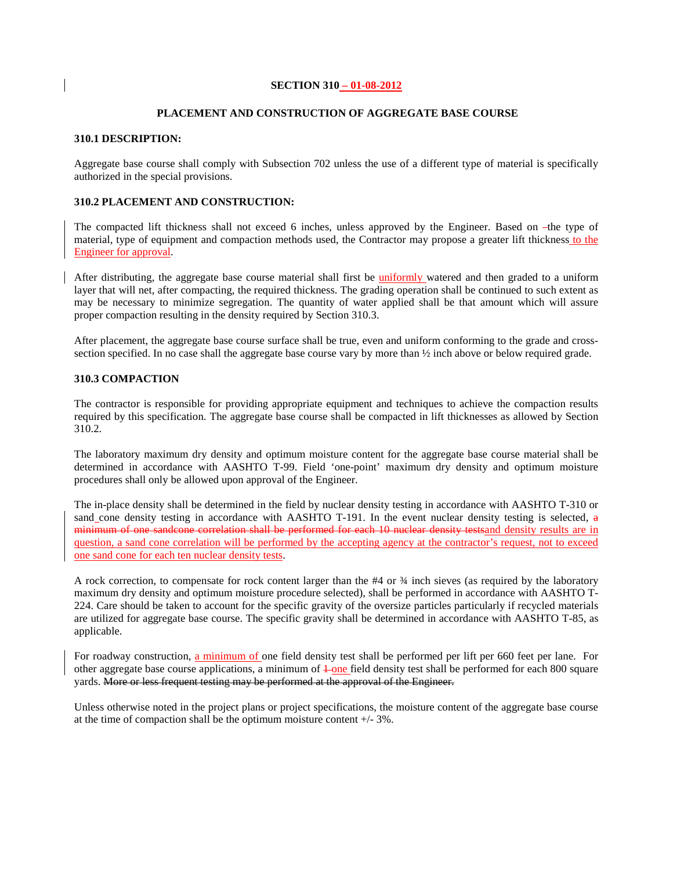### **SECTION 310 – 01-08-2012**

#### **PLACEMENT AND CONSTRUCTION OF AGGREGATE BASE COURSE**

### **310.1 DESCRIPTION:**

Aggregate base course shall comply with Subsection 702 unless the use of a different type of material is specifically authorized in the special provisions.

### **310.2 PLACEMENT AND CONSTRUCTION:**

The compacted lift thickness shall not exceed 6 inches, unless approved by the Engineer. Based on -the type of material, type of equipment and compaction methods used, the Contractor may propose a greater lift thickness to the Engineer for approval.

After distributing, the aggregate base course material shall first be uniformly watered and then graded to a uniform layer that will net, after compacting, the required thickness. The grading operation shall be continued to such extent as may be necessary to minimize segregation. The quantity of water applied shall be that amount which will assure proper compaction resulting in the density required by Section 310.3.

After placement, the aggregate base course surface shall be true, even and uniform conforming to the grade and crosssection specified. In no case shall the aggregate base course vary by more than  $\frac{1}{2}$  inch above or below required grade.

## **310.3 COMPACTION**

The contractor is responsible for providing appropriate equipment and techniques to achieve the compaction results required by this specification. The aggregate base course shall be compacted in lift thicknesses as allowed by Section 310.2.

The laboratory maximum dry density and optimum moisture content for the aggregate base course material shall be determined in accordance with AASHTO T-99. Field 'one-point' maximum dry density and optimum moisture procedures shall only be allowed upon approval of the Engineer.

The in-place density shall be determined in the field by nuclear density testing in accordance with AASHTO T-310 or sand cone density testing in accordance with AASHTO T-191. In the event nuclear density testing is selected,  $\alpha$ minimum of one sandcone correlation shall be performed for each 10 nuclear density testsand density results are in question, a sand cone correlation will be performed by the accepting agency at the contractor's request, not to exceed one sand cone for each ten nuclear density tests.

A rock correction, to compensate for rock content larger than the #4 or ¾ inch sieves (as required by the laboratory maximum dry density and optimum moisture procedure selected), shall be performed in accordance with AASHTO T-224. Care should be taken to account for the specific gravity of the oversize particles particularly if recycled materials are utilized for aggregate base course. The specific gravity shall be determined in accordance with AASHTO T-85, as applicable.

For roadway construction, a minimum of one field density test shall be performed per lift per 660 feet per lane. For other aggregate base course applications, a minimum of  $\frac{1}{2}$  one field density test shall be performed for each 800 square yards. More or less frequent testing may be performed at the approval of the Engineer.

Unless otherwise noted in the project plans or project specifications, the moisture content of the aggregate base course at the time of compaction shall be the optimum moisture content +/- 3%.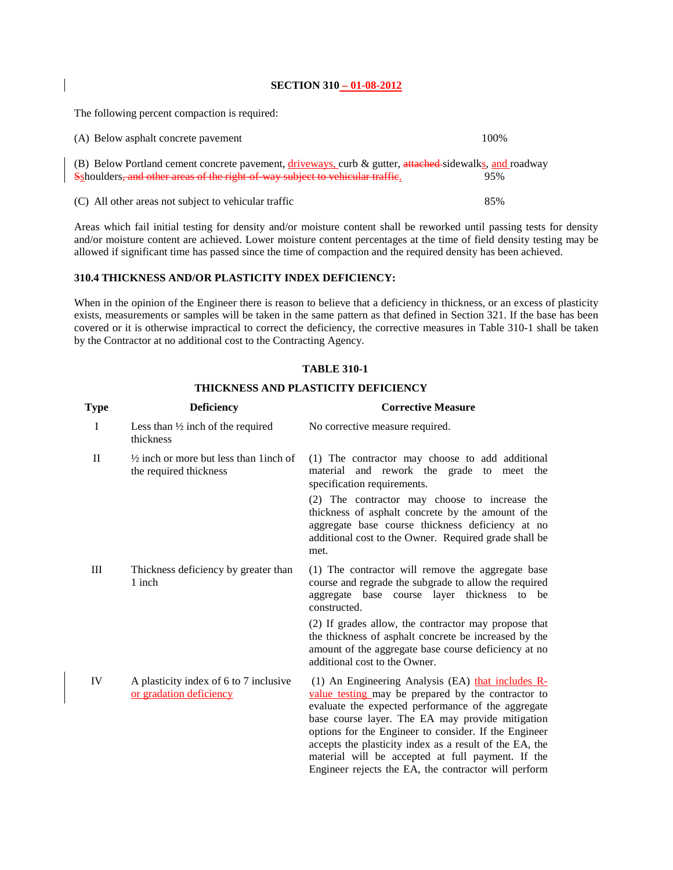## **SECTION 310 – 01-08-2012**

The following percent compaction is required:

| (A) Below asphalt concrete payement                                                                                                                                                     | 100% |
|-----------------------------------------------------------------------------------------------------------------------------------------------------------------------------------------|------|
| (B) Below Portland cement concrete pavement, driveways, curb & gutter, attached-sidewalks, and roadway<br>Sshoulders, and other areas of the right of way subject to vehicular traffic. | 95%  |
| (C) All other areas not subject to vehicular traffic                                                                                                                                    | 85%  |

Areas which fail initial testing for density and/or moisture content shall be reworked until passing tests for density and/or moisture content are achieved. Lower moisture content percentages at the time of field density testing may be allowed if significant time has passed since the time of compaction and the required density has been achieved.

# **310.4 THICKNESS AND/OR PLASTICITY INDEX DEFICIENCY:**

When in the opinion of the Engineer there is reason to believe that a deficiency in thickness, or an excess of plasticity exists, measurements or samples will be taken in the same pattern as that defined in Section 321. If the base has been covered or it is otherwise impractical to correct the deficiency, the corrective measures in Table 310-1 shall be taken by the Contractor at no additional cost to the Contracting Agency.

# **TABLE 310-1**

# **THICKNESS AND PLASTICITY DEFICIENCY**

| Type         | <b>Deficiency</b>                                                            | <b>Corrective Measure</b>                                                                                                                                                                                                                                                                                                                                                                                                                          |
|--------------|------------------------------------------------------------------------------|----------------------------------------------------------------------------------------------------------------------------------------------------------------------------------------------------------------------------------------------------------------------------------------------------------------------------------------------------------------------------------------------------------------------------------------------------|
| $\bf{I}$     | Less than $\frac{1}{2}$ inch of the required<br>thickness                    | No corrective measure required.                                                                                                                                                                                                                                                                                                                                                                                                                    |
| $\mathbf{I}$ | $\frac{1}{2}$ inch or more but less than 1 inch of<br>the required thickness | (1) The contractor may choose to add additional<br>material and rework the grade to meet the<br>specification requirements.                                                                                                                                                                                                                                                                                                                        |
|              |                                                                              | (2) The contractor may choose to increase the<br>thickness of asphalt concrete by the amount of the<br>aggregate base course thickness deficiency at no<br>additional cost to the Owner. Required grade shall be<br>met.                                                                                                                                                                                                                           |
| Ш            | Thickness deficiency by greater than<br>1 inch                               | (1) The contractor will remove the aggregate base<br>course and regrade the subgrade to allow the required<br>aggregate base course layer thickness to be<br>constructed.                                                                                                                                                                                                                                                                          |
|              |                                                                              | (2) If grades allow, the contractor may propose that<br>the thickness of asphalt concrete be increased by the<br>amount of the aggregate base course deficiency at no<br>additional cost to the Owner.                                                                                                                                                                                                                                             |
| IV           | A plasticity index of 6 to 7 inclusive<br>or gradation deficiency            | (1) An Engineering Analysis (EA) that includes R-<br>value testing may be prepared by the contractor to<br>evaluate the expected performance of the aggregate<br>base course layer. The EA may provide mitigation<br>options for the Engineer to consider. If the Engineer<br>accepts the plasticity index as a result of the EA, the<br>material will be accepted at full payment. If the<br>Engineer rejects the EA, the contractor will perform |